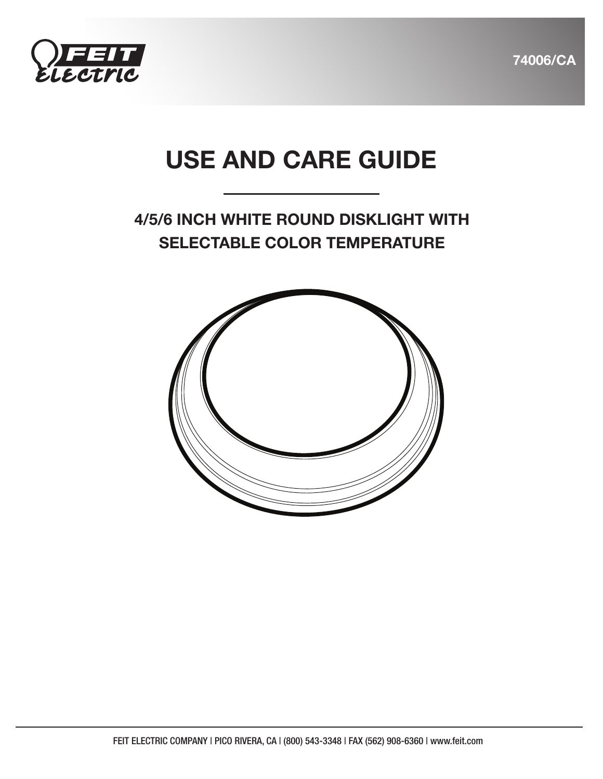



# USE AND CARE GUIDE

## 4/5/6 INCH WHITE ROUND DISKLIGHT WITH SELECTABLE COLOR TEMPERATURE

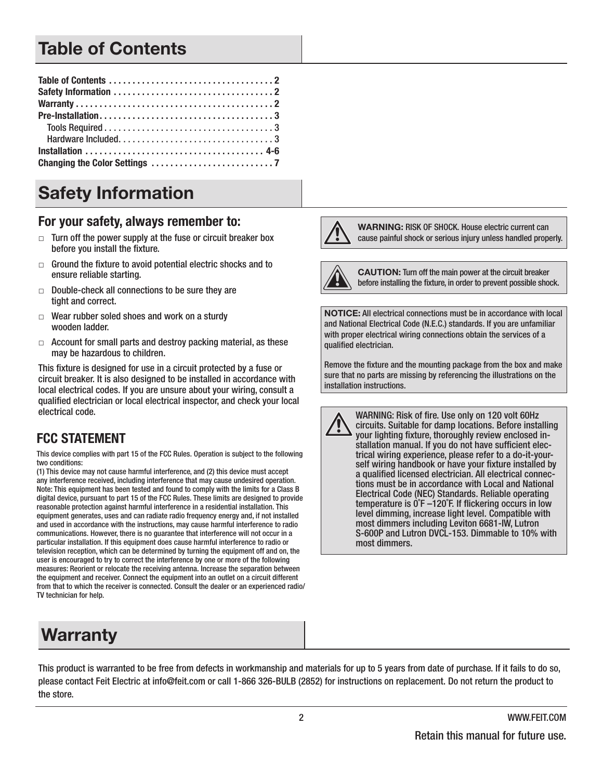## Table of Contents

# Safety Information

#### For your safety, always remember to:

- $\Box$  Turn off the power supply at the fuse or circuit breaker box before you install the fixture.
- $\Box$  Ground the fixture to avoid potential electric shocks and to ensure reliable starting.
- $\Box$  Double-check all connections to be sure they are tight and correct.
- $\Box$  Wear rubber soled shoes and work on a sturdy wooden ladder.
- $\Box$  Account for small parts and destroy packing material, as these may be hazardous to children.

This fixture is designed for use in a circuit protected by a fuse or circuit breaker. It is also designed to be installed in accordance with local electrical codes. If you are unsure about your wiring, consult a qualified electrician or local electrical inspector, and check your local electrical code.

#### **FCC STATEMENT**

This device complies with part 15 of the FCC Rules. Operation is subject to the following two conditions:

(1) This device may not cause harmful interference, and (2) this device must accept any interference received, including interference that may cause undesired operation. Note: This equipment has been tested and found to comply with the limits for a Class B digital device, pursuant to part 15 of the FCC Rules. These limits are designed to provide reasonable protection against harmful interference in a residential installation. This equipment generates, uses and can radiate radio frequency energy and, if not installed and used in accordance with the instructions, may cause harmful interference to radio communications. However, there is no guarantee that interference will not occur in a particular installation. If this equipment does cause harmful interference to radio or television reception, which can be determined by turning the equipment off and on, the user is encouraged to try to correct the interference by one or more of the following measures: Reorient or relocate the receiving antenna. Increase the separation between the equipment and receiver. Connect the equipment into an outlet on a circuit different from that to which the receiver is connected. Consult the dealer or an experienced radio/ TV technician for help.

# Warranty

WARNING: RISK OF SHOCK. House electric current can cause painful shock or serious injury unless handled properly.



CAUTION: Turn off the main power at the circuit breaker before installing the fixture, in order to prevent possible shock.

NOTICE: All electrical connections must be in accordance with local and National Electrical Code (N.E.C.) standards. If you are unfamiliar with proper electrical wiring connections obtain the services of a qualified electrician.

Remove the fixture and the mounting package from the box and make sure that no parts are missing by referencing the illustrations on the installation instructions.

WARNING: Risk of fire. Use only on 120 volt 60Hz circuits. Suitable for damp locations. Before installing your lighting fixture, thoroughly review enclosed installation manual. If you do not have sufficient electrical wiring experience, please refer to a do-it-yourself wiring handbook or have your fixture installed by a qualified licensed electrician. All electrical connections must be in accordance with Local and National Electrical Code (NEC) Standards. Reliable operating temperature is 0˚F –120˚F. If flickering occurs in low level dimming, increase light level. Compatible with most dimmers including Leviton 6681-IW, Lutron S-600P and Lutron DVCL-153. Dimmable to 10% with most dimmers.

This product is warranted to be free from defects in workmanship and materials for up to 5 years from date of purchase. If it fails to do so, please contact Feit Electric at info@feit.com or call 1-866 326-BULB (2852) for instructions on replacement. Do not return the product to the store.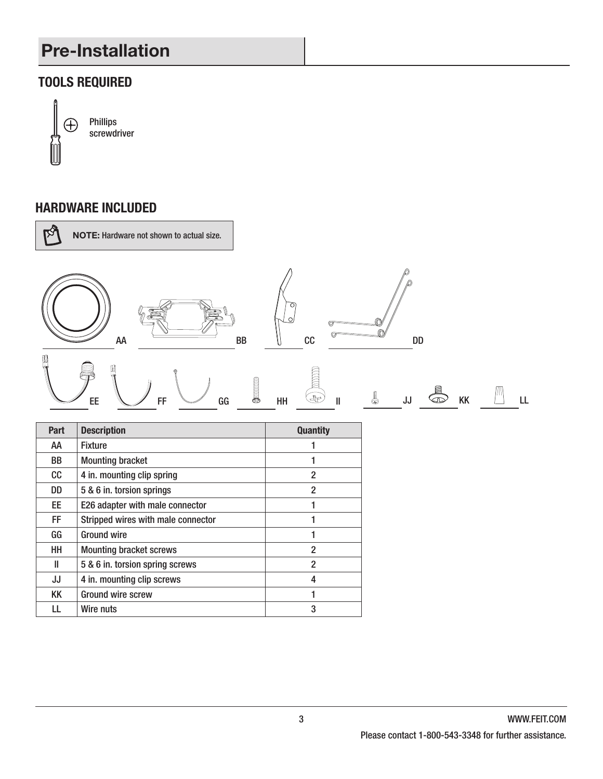# Pre-Installation

#### **TOOLS REQUIRED**



Phillips screwdriver

#### **HARDWARE INCLUDED**



| Part      | <b>Description</b>                 | <b>Quantity</b> |
|-----------|------------------------------------|-----------------|
| AA        | <b>Fixture</b>                     |                 |
| <b>BB</b> | <b>Mounting bracket</b>            |                 |
| cc        | 4 in. mounting clip spring         | $\overline{2}$  |
| DD        | 5 & 6 in. torsion springs          | 2               |
| EE.       | E26 adapter with male connector    |                 |
| FF.       | Stripped wires with male connector |                 |
| GG        | <b>Ground wire</b>                 |                 |
| HН        | <b>Mounting bracket screws</b>     | $\overline{2}$  |
| Ш         | 5 & 6 in. torsion spring screws    | 2               |
| JJ        | 4 in. mounting clip screws         | 4               |
| KK        | <b>Ground wire screw</b>           |                 |
| LL        | Wire nuts                          | 3               |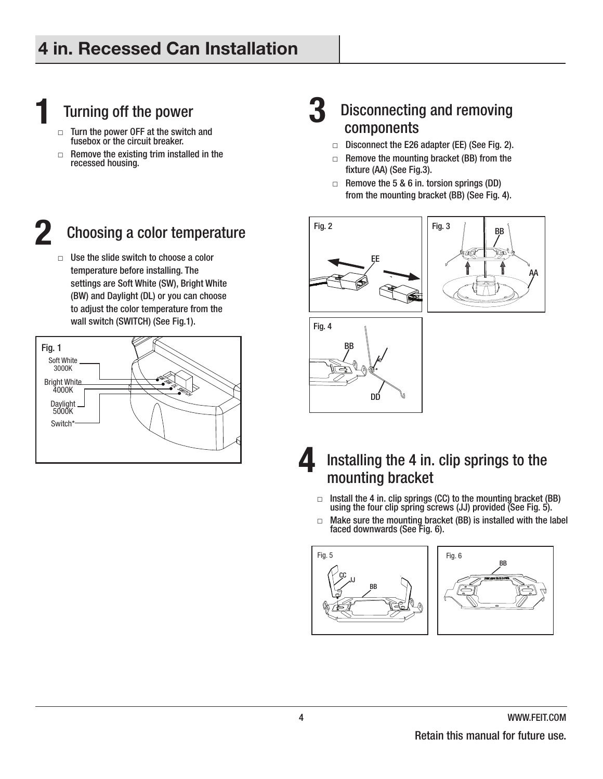# Turning off the power

- $\Box$  Turn the power OFF at the switch and fusebox or the circuit breaker.
- $\Box$  Remove the existing trim installed in the recessed housing.

#### **2** Choosing a color temperature

 $\Box$  Use the slide switch to choose a color temperature before installing. The settings are Soft White (SW), Bright White (BW) and Daylight (DL) or you can choose to adjust the color temperature from the wall switch (SWITCH) (See Fig.1).



# **Disconnecting and removing<br>components**

- □ Disconnect the E26 adapter (EE) (See Fig. 2).
- $\Box$  Remove the mounting bracket (BB) from the fixture (AA) (See Fig.3).
- $\Box$  Remove the 5 & 6 in. torsion springs (DD) from the mounting bracket (BB) (See Fig. 4).









- $\Box$  Install the 4 in. clip springs (CC) to the mounting bracket (BB) using the four clip spring screws (JJ) provided (See Fig. 5).
- $\Box$  Make sure the mounting bracket (BB) is installed with the label faced downwards (See Fig. 6).



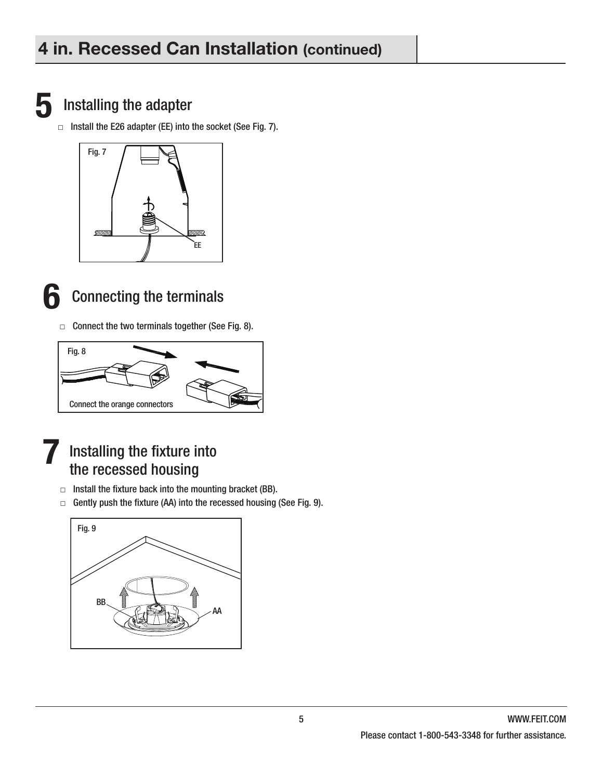

#### **5** Installing the adapter

 $\Box$  Install the E26 adapter (EE) into the socket (See Fig. 7).





## **6** Connecting the terminals

 $\Box$  Connect the two terminals together (See Fig. 8).





- $\Box$  Install the fixture back into the mounting bracket (BB).
- $\Box$  Gently push the fixture (AA) into the recessed housing (See Fig. 9).

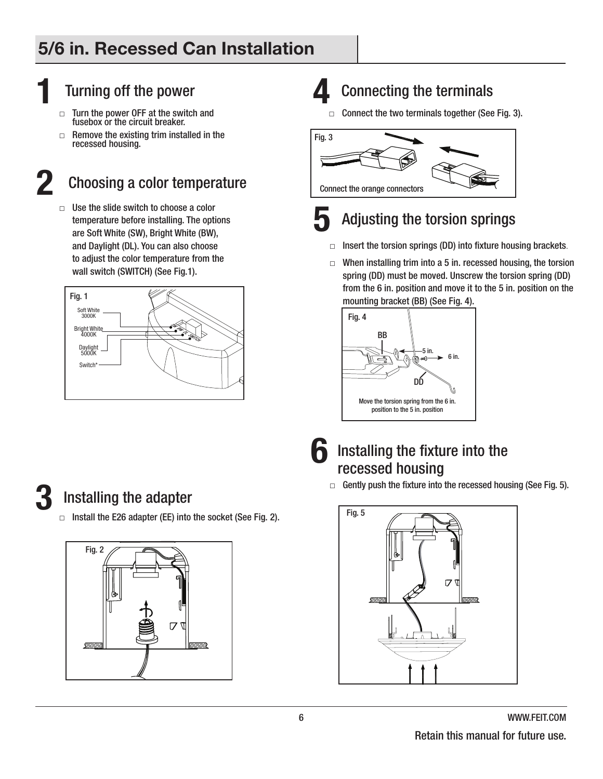# 5/6 in. Recessed Can Installation

# **1 11 Turning off the power** □ Turn the power OFF at the switch

- Turn the power OFF at the switch and fusebox or the circuit breaker.
- $\Box$  Remove the existing trim installed in the recessed housing.

### **2** Choosing a color temperature

 $\Box$  Use the slide switch to choose a color temperature before installing. The options are Soft White (SW), Bright White (BW), and Daylight (DL). You can also choose to adjust the color temperature from the wall switch (SWITCH) (See Fig.1).



# **4** Connecting the terminals

 $\Box$  Connect the two terminals together (See Fig. 3).



# **5** Adjusting the torsion springs

- $\Box$  Insert the torsion springs (DD) into fixture housing brackets.
- $\Box$  When installing trim into a 5 in. recessed housing, the torsion spring (DD) must be moved. Unscrew the torsion spring (DD) from the 6 in. position and move it to the 5 in. position on the mounting bracket (BB) (See Fig. 4).





#### **6** Installing the fixture into the recessed housing

 $\Box$  Gently push the fixture into the recessed housing (See Fig. 5).



### **3** Installing the adapter

 $\Box$  Install the E26 adapter (EE) into the socket (See Fig. 2).

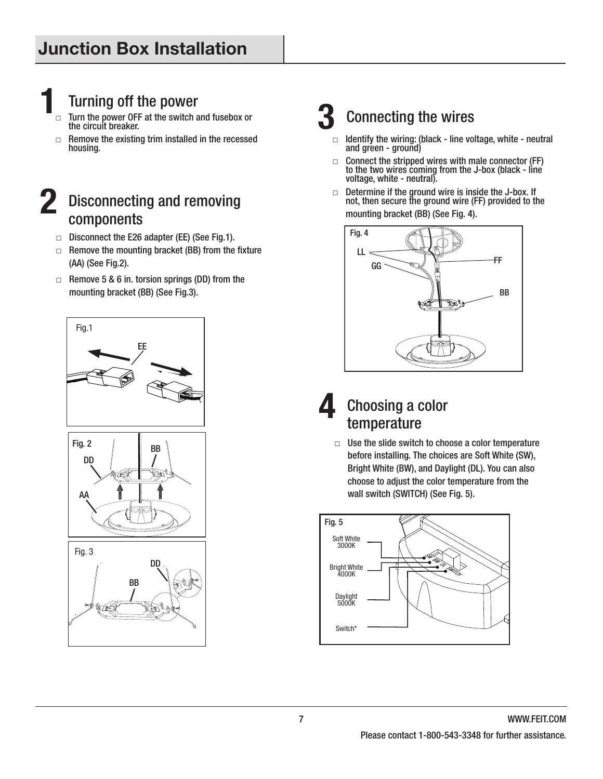# **1** Turning off the power

- Turn the power OFF at the switch and fusebox or the circuit breaker.
- $\Box$  Remove the existing trim installed in the recessed housing.

#### **2** Disconnecting and removing components

- □ Disconnect the E26 adapter (EE) (See Fig.1).
- $\Box$  Remove the mounting bracket (BB) from the fixture (AA) (See Fig.2).
- $\Box$  Remove 5 & 6 in. torsion springs (DD) from the mounting bracket (BB) (See Fig.3).







# **3** Connecting the wires

- $\Box$  Identify the wiring: (black line voltage, white neutral and green - ground)
- $\Box$  Connect the stripped wires with male connector (FF) to the two wires coming from the J-box (black - line voltage, white - neutral).
- □ Determine if the ground wire is inside the J-box. If not, then secure the ground wire (FF) provided to the mounting bracket (BB) (See Fig. 4).



#### **4** Choosing a color temperature

 $\Box$  Use the slide switch to choose a color temperature before installing. The choices are Soft White (SW), Bright White (BW), and Daylight (DL). You can also choose to adjust the color temperature from the wall switch (SWITCH) (See Fig. 5).

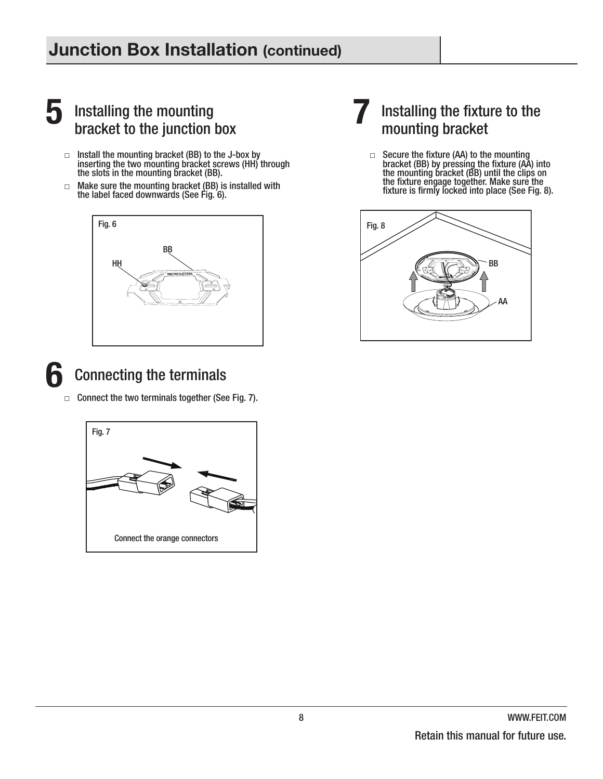### Junction Box Installation (continued)

### **5** Installing the mounting bracket to the junction box

- $\Box$  Install the mounting bracket (BB) to the J-box by inserting the two mounting bracket screws (HH) through the slots in the mounting bracket (BB).
- $\Box$  Make sure the mounting bracket (BB) is installed with the label faced downwards (See Fig. 6).



### **6** Connecting the terminals

 $\Box$  Connect the two terminals together (See Fig. 7).



#### **7** Installing the fixture to the mounting bracket

 $\Box$  Secure the fixture (AA) to the mounting bracket (BB) by pressing the fixture (AA) into the mounting bracket (BB) until the clips on the fixture engage together. Make sure the fixture is firmly locked into place (See Fig. 8).